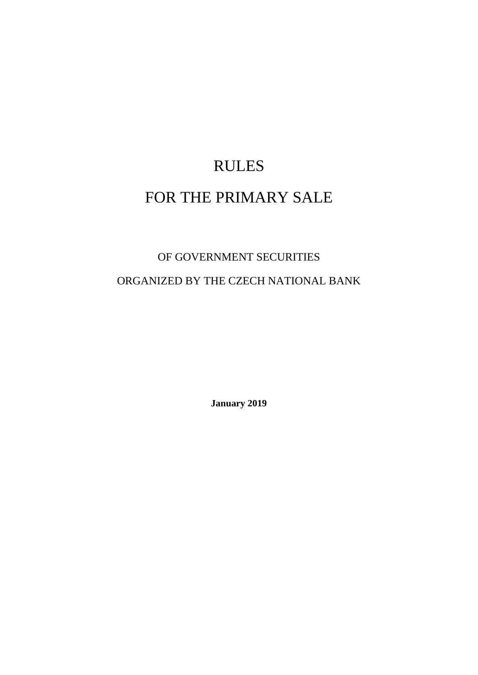# RULES FOR THE PRIMARY SALE

# OF GOVERNMENT SECURITIES

# ORGANIZED BY THE CZECH NATIONAL BANK

**January 2019**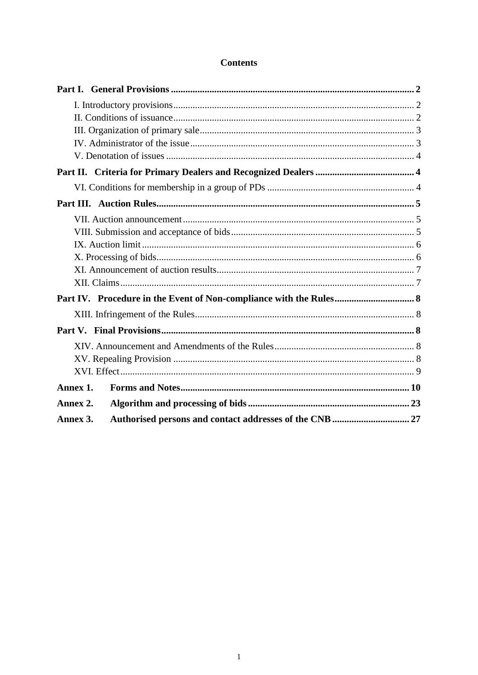### **Contents**

| Annex 1. |                                                         |  |
|----------|---------------------------------------------------------|--|
| Annex 2. |                                                         |  |
| Annex 3. | Authorised persons and contact addresses of the CNB  27 |  |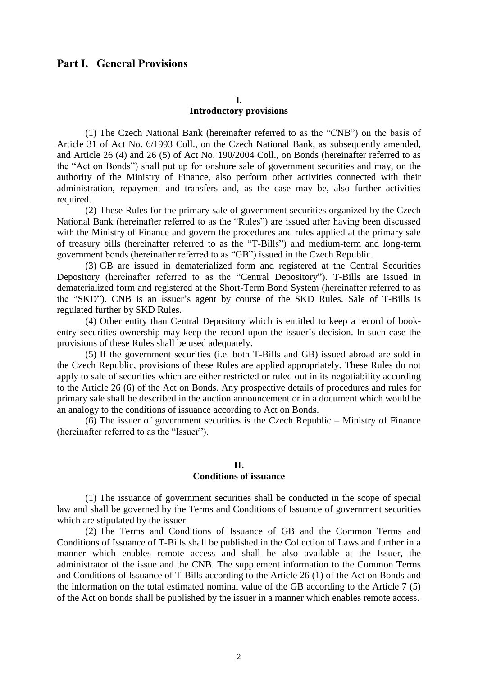#### **Part I. General Provisions**

#### **I.**

#### **Introductory provisions**

(1) The Czech National Bank (hereinafter referred to as the "CNB") on the basis of Article 31 of Act No. 6/1993 Coll., on the Czech National Bank, as subsequently amended, and Article 26 (4) and 26 (5) of Act No. 190/2004 Coll., on Bonds (hereinafter referred to as the "Act on Bonds") shall put up for onshore sale of government securities and may, on the authority of the Ministry of Finance, also perform other activities connected with their administration, repayment and transfers and, as the case may be, also further activities required.

(2) These Rules for the primary sale of government securities organized by the Czech National Bank (hereinafter referred to as the "Rules") are issued after having been discussed with the Ministry of Finance and govern the procedures and rules applied at the primary sale of treasury bills (hereinafter referred to as the "T-Bills") and medium-term and long-term government bonds (hereinafter referred to as "GB") issued in the Czech Republic.

(3) GB are issued in dematerialized form and registered at the Central Securities Depository (hereinafter referred to as the "Central Depository"). T-Bills are issued in dematerialized form and registered at the Short-Term Bond System (hereinafter referred to as the "SKD"). CNB is an issuer's agent by course of the SKD Rules. Sale of T-Bills is regulated further by SKD Rules.

(4) Other entity than Central Depository which is entitled to keep a record of bookentry securities ownership may keep the record upon the issuer's decision. In such case the provisions of these Rules shall be used adequately.

(5) If the government securities (i.e. both T-Bills and GB) issued abroad are sold in the Czech Republic, provisions of these Rules are applied appropriately. These Rules do not apply to sale of securities which are either restricted or ruled out in its negotiability according to the Article 26 (6) of the Act on Bonds. Any prospective details of procedures and rules for primary sale shall be described in the auction announcement or in a document which would be an analogy to the conditions of issuance according to Act on Bonds.

(6) The issuer of government securities is the Czech Republic – Ministry of Finance (hereinafter referred to as the "Issuer").

#### **II.**

#### **Conditions of issuance**

(1) The issuance of government securities shall be conducted in the scope of special law and shall be governed by the Terms and Conditions of Issuance of government securities which are stipulated by the issuer

(2) The Terms and Conditions of Issuance of GB and the Common Terms and Conditions of Issuance of T-Bills shall be published in the Collection of Laws and further in a manner which enables remote access and shall be also available at the Issuer, the administrator of the issue and the CNB. The supplement information to the Common Terms and Conditions of Issuance of T-Bills according to the Article 26 (1) of the Act on Bonds and the information on the total estimated nominal value of the GB according to the Article 7 (5) of the Act on bonds shall be published by the issuer in a manner which enables remote access.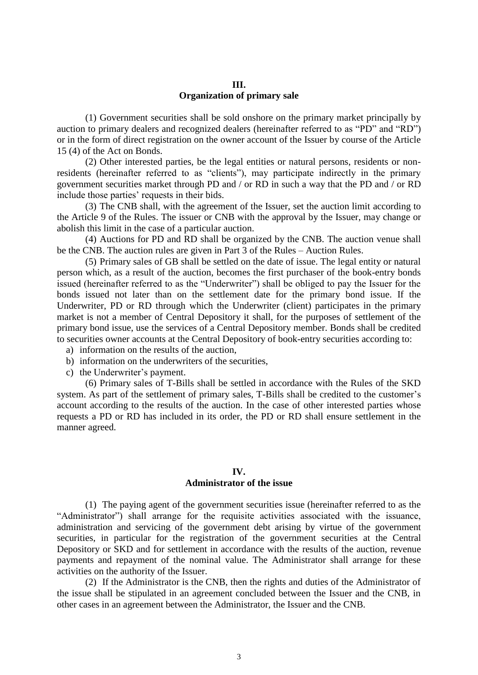#### **III. Organization of primary sale**

(1) Government securities shall be sold onshore on the primary market principally by auction to primary dealers and recognized dealers (hereinafter referred to as "PD" and "RD") or in the form of direct registration on the owner account of the Issuer by course of the Article 15 (4) of the Act on Bonds.

(2) Other interested parties, be the legal entities or natural persons, residents or nonresidents (hereinafter referred to as "clients"), may participate indirectly in the primary government securities market through PD and / or RD in such a way that the PD and / or RD include those parties' requests in their bids.

(3) The CNB shall, with the agreement of the Issuer, set the auction limit according to the Article 9 of the Rules. The issuer or CNB with the approval by the Issuer, may change or abolish this limit in the case of a particular auction.

(4) Auctions for PD and RD shall be organized by the CNB. The auction venue shall be the CNB. The auction rules are given in Part 3 of the Rules – Auction Rules.

(5) Primary sales of GB shall be settled on the date of issue. The legal entity or natural person which, as a result of the auction, becomes the first purchaser of the book-entry bonds issued (hereinafter referred to as the "Underwriter") shall be obliged to pay the Issuer for the bonds issued not later than on the settlement date for the primary bond issue. If the Underwriter, PD or RD through which the Underwriter (client) participates in the primary market is not a member of Central Depository it shall, for the purposes of settlement of the primary bond issue, use the services of a Central Depository member. Bonds shall be credited to securities owner accounts at the Central Depository of book-entry securities according to:

- a) information on the results of the auction,
- b) information on the underwriters of the securities,
- c) the Underwriter's payment.

(6) Primary sales of T-Bills shall be settled in accordance with the Rules of the SKD system. As part of the settlement of primary sales, T-Bills shall be credited to the customer's account according to the results of the auction. In the case of other interested parties whose requests a PD or RD has included in its order, the PD or RD shall ensure settlement in the manner agreed.

#### **IV.**

#### **Administrator of the issue**

(1) The paying agent of the government securities issue (hereinafter referred to as the "Administrator") shall arrange for the requisite activities associated with the issuance, administration and servicing of the government debt arising by virtue of the government securities, in particular for the registration of the government securities at the Central Depository or SKD and for settlement in accordance with the results of the auction, revenue payments and repayment of the nominal value. The Administrator shall arrange for these activities on the authority of the Issuer.

(2) If the Administrator is the CNB, then the rights and duties of the Administrator of the issue shall be stipulated in an agreement concluded between the Issuer and the CNB, in other cases in an agreement between the Administrator, the Issuer and the CNB.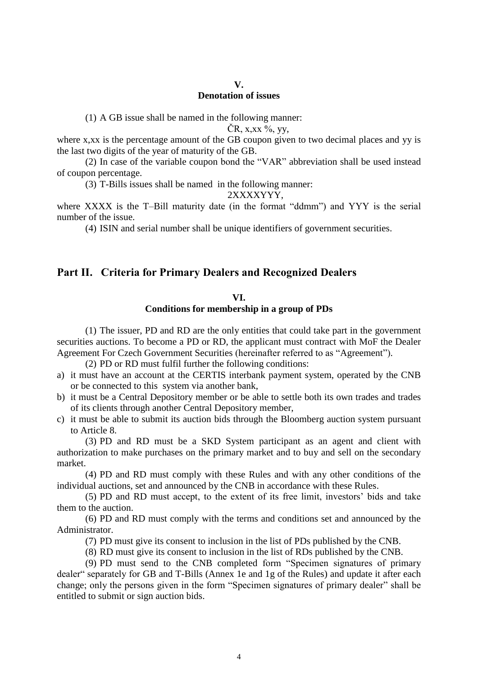#### **V.**

#### **Denotation of issues**

(1) A GB issue shall be named in the following manner:

 $CR$ , x, xx  $\%$ , yy,

where x,xx is the percentage amount of the GB coupon given to two decimal places and yy is the last two digits of the year of maturity of the GB.

(2) In case of the variable coupon bond the "VAR" abbreviation shall be used instead of coupon percentage.

(3) T-Bills issues shall be named in the following manner:

2XXXXYYY,

where XXXX is the T-Bill maturity date (in the format "ddmm") and YYY is the serial number of the issue.

(4) ISIN and serial number shall be unique identifiers of government securities.

#### **Part II. Criteria for Primary Dealers and Recognized Dealers**

#### **VI.**

#### **Conditions for membership in a group of PDs**

(1) The issuer, PD and RD are the only entities that could take part in the government securities auctions. To become a PD or RD, the applicant must contract with MoF the Dealer Agreement For Czech Government Securities (hereinafter referred to as "Agreement").

(2) PD or RD must fulfil further the following conditions:

- a) it must have an account at the CERTIS interbank payment system, operated by the CNB or be connected to this system via another bank,
- b) it must be a Central Depository member or be able to settle both its own trades and trades of its clients through another Central Depository member,
- c) it must be able to submit its auction bids through the Bloomberg auction system pursuant to Article 8.

(3) PD and RD must be a SKD System participant as an agent and client with authorization to make purchases on the primary market and to buy and sell on the secondary market.

(4) PD and RD must comply with these Rules and with any other conditions of the individual auctions, set and announced by the CNB in accordance with these Rules.

(5) PD and RD must accept, to the extent of its free limit, investors' bids and take them to the auction.

(6) PD and RD must comply with the terms and conditions set and announced by the Administrator.

(7) PD must give its consent to inclusion in the list of PDs published by the CNB.

(8) RD must give its consent to inclusion in the list of RDs published by the CNB.

(9) PD must send to the CNB completed form "Specimen signatures of primary dealer" separately for GB and T-Bills (Annex 1e and 1g of the Rules) and update it after each change; only the persons given in the form "Specimen signatures of primary dealer" shall be entitled to submit or sign auction bids.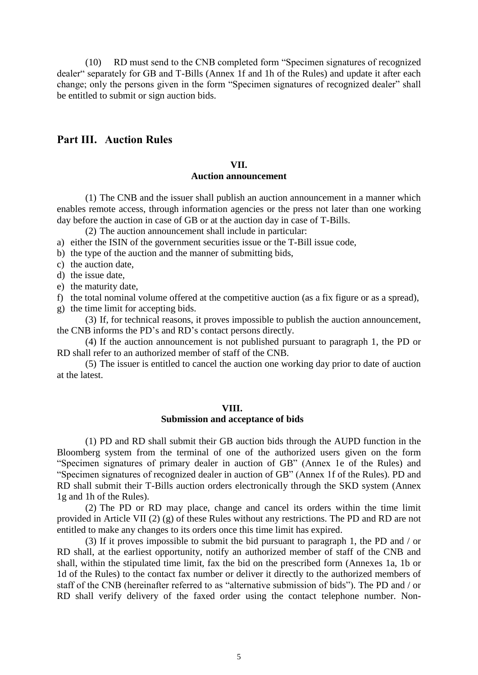(10) RD must send to the CNB completed form "Specimen signatures of recognized dealer" separately for GB and T-Bills (Annex 1f and 1h of the Rules) and update it after each change; only the persons given in the form "Specimen signatures of recognized dealer" shall be entitled to submit or sign auction bids.

### **Part III. Auction Rules**

#### **VII. Auction announcement**

(1) The CNB and the issuer shall publish an auction announcement in a manner which enables remote access, through information agencies or the press not later than one working day before the auction in case of GB or at the auction day in case of T-Bills.

(2) The auction announcement shall include in particular:

- a) either the ISIN of the government securities issue or the T-Bill issue code,
- b) the type of the auction and the manner of submitting bids,
- c) the auction date,
- d) the issue date,
- e) the maturity date,
- f) the total nominal volume offered at the competitive auction (as a fix figure or as a spread),
- g) the time limit for accepting bids.

(3) If, for technical reasons, it proves impossible to publish the auction announcement, the CNB informs the PD's and RD's contact persons directly.

(4) If the auction announcement is not published pursuant to paragraph 1, the PD or RD shall refer to an authorized member of staff of the CNB.

(5) The issuer is entitled to cancel the auction one working day prior to date of auction at the latest.

#### **VIII.**

#### **Submission and acceptance of bids**

(1) PD and RD shall submit their GB auction bids through the AUPD function in the Bloomberg system from the terminal of one of the authorized users given on the form "Specimen signatures of primary dealer in auction of GB" (Annex 1e of the Rules) and "Specimen signatures of recognized dealer in auction of GB" (Annex 1f of the Rules). PD and RD shall submit their T-Bills auction orders electronically through the SKD system (Annex 1g and 1h of the Rules).

(2) The PD or RD may place, change and cancel its orders within the time limit provided in Article VII (2) (g) of these Rules without any restrictions. The PD and RD are not entitled to make any changes to its orders once this time limit has expired.

(3) If it proves impossible to submit the bid pursuant to paragraph 1, the PD and / or RD shall, at the earliest opportunity, notify an authorized member of staff of the CNB and shall, within the stipulated time limit, fax the bid on the prescribed form (Annexes 1a, 1b or 1d of the Rules) to the contact fax number or deliver it directly to the authorized members of staff of the CNB (hereinafter referred to as "alternative submission of bids"). The PD and / or RD shall verify delivery of the faxed order using the contact telephone number. Non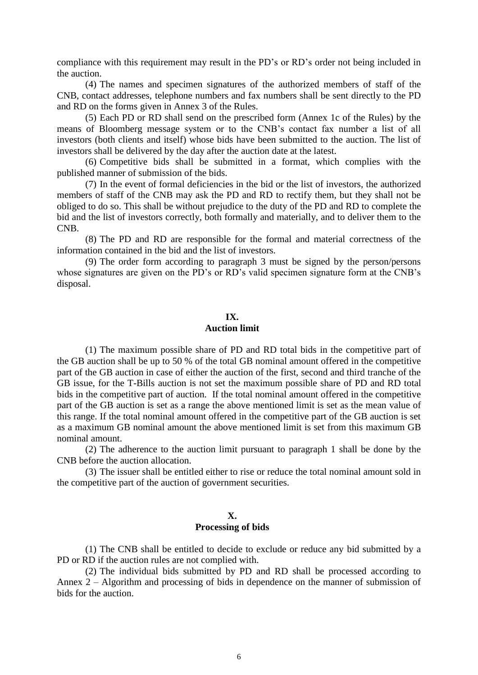compliance with this requirement may result in the PD's or RD's order not being included in the auction.

(4) The names and specimen signatures of the authorized members of staff of the CNB, contact addresses, telephone numbers and fax numbers shall be sent directly to the PD and RD on the forms given in Annex 3 of the Rules.

(5) Each PD or RD shall send on the prescribed form (Annex 1c of the Rules) by the means of Bloomberg message system or to the CNB's contact fax number a list of all investors (both clients and itself) whose bids have been submitted to the auction. The list of investors shall be delivered by the day after the auction date at the latest.

(6) Competitive bids shall be submitted in a format, which complies with the published manner of submission of the bids.

(7) In the event of formal deficiencies in the bid or the list of investors, the authorized members of staff of the CNB may ask the PD and RD to rectify them, but they shall not be obliged to do so. This shall be without prejudice to the duty of the PD and RD to complete the bid and the list of investors correctly, both formally and materially, and to deliver them to the CNB.

(8) The PD and RD are responsible for the formal and material correctness of the information contained in the bid and the list of investors.

(9) The order form according to paragraph 3 must be signed by the person/persons whose signatures are given on the PD's or RD's valid specimen signature form at the CNB's disposal.

#### **IX.**

#### **Auction limit**

(1) The maximum possible share of PD and RD total bids in the competitive part of the GB auction shall be up to 50 % of the total GB nominal amount offered in the competitive part of the GB auction in case of either the auction of the first, second and third tranche of the GB issue, for the T-Bills auction is not set the maximum possible share of PD and RD total bids in the competitive part of auction. If the total nominal amount offered in the competitive part of the GB auction is set as a range the above mentioned limit is set as the mean value of this range. If the total nominal amount offered in the competitive part of the GB auction is set as a maximum GB nominal amount the above mentioned limit is set from this maximum GB nominal amount.

(2) The adherence to the auction limit pursuant to paragraph 1 shall be done by the CNB before the auction allocation.

(3) The issuer shall be entitled either to rise or reduce the total nominal amount sold in the competitive part of the auction of government securities.

#### **X. Processing of bids**

(1) The CNB shall be entitled to decide to exclude or reduce any bid submitted by a PD or RD if the auction rules are not complied with.

(2) The individual bids submitted by PD and RD shall be processed according to Annex 2 – Algorithm and processing of bids in dependence on the manner of submission of bids for the auction.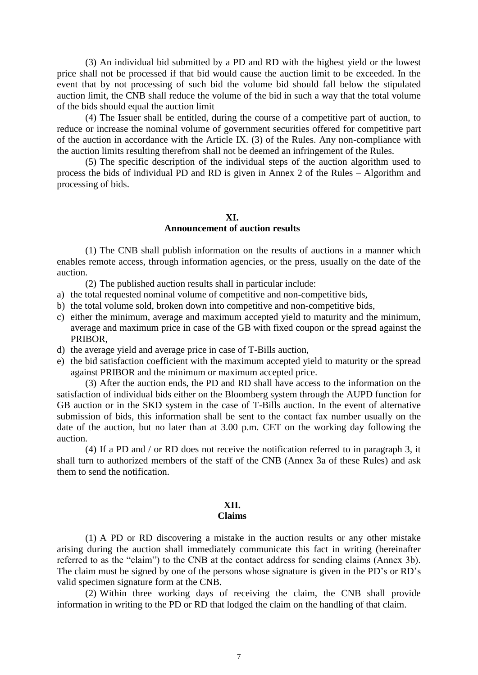(3) An individual bid submitted by a PD and RD with the highest yield or the lowest price shall not be processed if that bid would cause the auction limit to be exceeded. In the event that by not processing of such bid the volume bid should fall below the stipulated auction limit, the CNB shall reduce the volume of the bid in such a way that the total volume of the bids should equal the auction limit

(4) The Issuer shall be entitled, during the course of a competitive part of auction, to reduce or increase the nominal volume of government securities offered for competitive part of the auction in accordance with the Article IX. (3) of the Rules. Any non-compliance with the auction limits resulting therefrom shall not be deemed an infringement of the Rules.

(5) The specific description of the individual steps of the auction algorithm used to process the bids of individual PD and RD is given in Annex 2 of the Rules – Algorithm and processing of bids.

#### **XI.**

#### **Announcement of auction results**

(1) The CNB shall publish information on the results of auctions in a manner which enables remote access, through information agencies, or the press, usually on the date of the auction.

(2) The published auction results shall in particular include:

- a) the total requested nominal volume of competitive and non-competitive bids,
- b) the total volume sold, broken down into competitive and non-competitive bids,
- c) either the minimum, average and maximum accepted yield to maturity and the minimum, average and maximum price in case of the GB with fixed coupon or the spread against the PRIBOR,
- d) the average yield and average price in case of T-Bills auction,
- e) the bid satisfaction coefficient with the maximum accepted yield to maturity or the spread against PRIBOR and the minimum or maximum accepted price.

(3) After the auction ends, the PD and RD shall have access to the information on the satisfaction of individual bids either on the Bloomberg system through the AUPD function for GB auction or in the SKD system in the case of T-Bills auction. In the event of alternative submission of bids, this information shall be sent to the contact fax number usually on the date of the auction, but no later than at 3.00 p.m. CET on the working day following the auction.

(4) If a PD and / or RD does not receive the notification referred to in paragraph 3, it shall turn to authorized members of the staff of the CNB (Annex 3a of these Rules) and ask them to send the notification.

#### **XII.**

#### **Claims**

(1) A PD or RD discovering a mistake in the auction results or any other mistake arising during the auction shall immediately communicate this fact in writing (hereinafter referred to as the "claim") to the CNB at the contact address for sending claims (Annex 3b). The claim must be signed by one of the persons whose signature is given in the PD's or RD's valid specimen signature form at the CNB.

(2) Within three working days of receiving the claim, the CNB shall provide information in writing to the PD or RD that lodged the claim on the handling of that claim.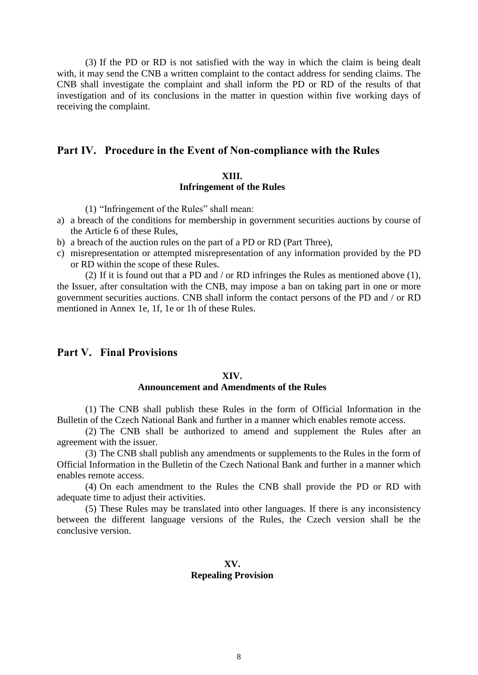(3) If the PD or RD is not satisfied with the way in which the claim is being dealt with, it may send the CNB a written complaint to the contact address for sending claims. The CNB shall investigate the complaint and shall inform the PD or RD of the results of that investigation and of its conclusions in the matter in question within five working days of receiving the complaint.

#### **Part IV. Procedure in the Event of Non-compliance with the Rules**

#### **XIII.**

#### **Infringement of the Rules**

(1) "Infringement of the Rules" shall mean:

- a) a breach of the conditions for membership in government securities auctions by course of the Article 6 of these Rules,
- b) a breach of the auction rules on the part of a PD or RD (Part Three),
- c) misrepresentation or attempted misrepresentation of any information provided by the PD or RD within the scope of these Rules.

(2) If it is found out that a PD and / or RD infringes the Rules as mentioned above (1), the Issuer, after consultation with the CNB, may impose a ban on taking part in one or more government securities auctions. CNB shall inform the contact persons of the PD and / or RD mentioned in Annex 1e, 1f, 1e or 1h of these Rules.

#### **Part V. Final Provisions**

#### **XIV.**

#### **Announcement and Amendments of the Rules**

(1) The CNB shall publish these Rules in the form of Official Information in the Bulletin of the Czech National Bank and further in a manner which enables remote access.

(2) The CNB shall be authorized to amend and supplement the Rules after an agreement with the issuer.

(3) The CNB shall publish any amendments or supplements to the Rules in the form of Official Information in the Bulletin of the Czech National Bank and further in a manner which enables remote access.

(4) On each amendment to the Rules the CNB shall provide the PD or RD with adequate time to adjust their activities.

(5) These Rules may be translated into other languages. If there is any inconsistency between the different language versions of the Rules, the Czech version shall be the conclusive version.

#### **XV. Repealing Provision**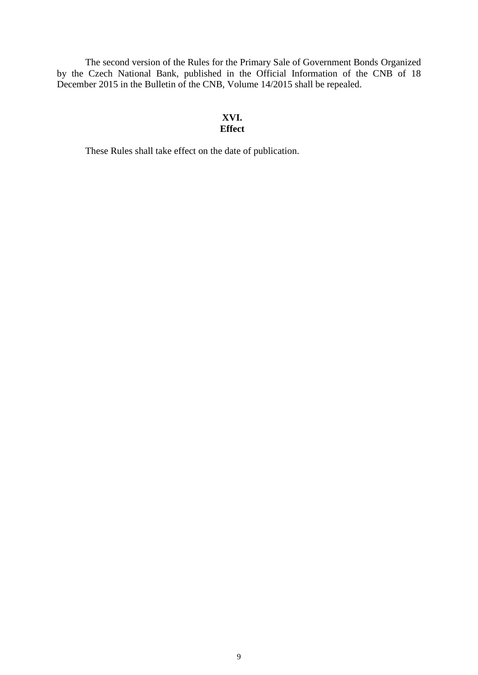The second version of the Rules for the Primary Sale of Government Bonds Organized by the Czech National Bank, published in the Official Information of the CNB of 18 December 2015 in the Bulletin of the CNB, Volume 14/2015 shall be repealed.

#### **XVI. Effect**

These Rules shall take effect on the date of publication.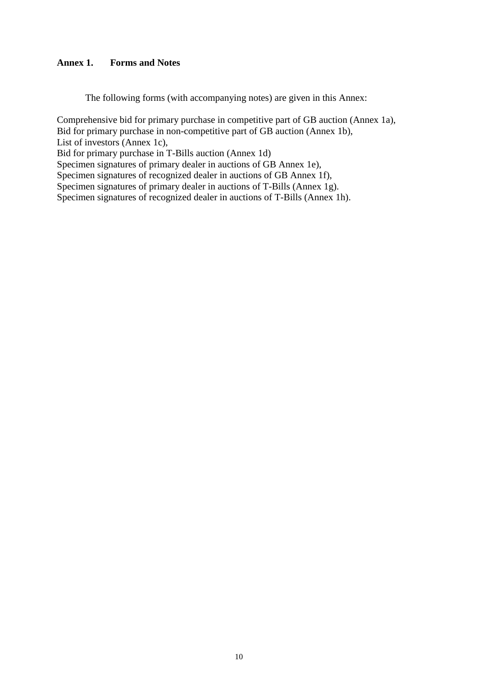#### **Annex 1. Forms and Notes**

The following forms (with accompanying notes) are given in this Annex:

Comprehensive bid for primary purchase in competitive part of GB auction (Annex 1a), Bid for primary purchase in non-competitive part of GB auction (Annex 1b), List of investors (Annex 1c),

Bid for primary purchase in T-Bills auction (Annex 1d)

Specimen signatures of primary dealer in auctions of GB Annex 1e),

Specimen signatures of recognized dealer in auctions of GB Annex 1f),

Specimen signatures of primary dealer in auctions of T-Bills (Annex 1g).

Specimen signatures of recognized dealer in auctions of T-Bills (Annex 1h).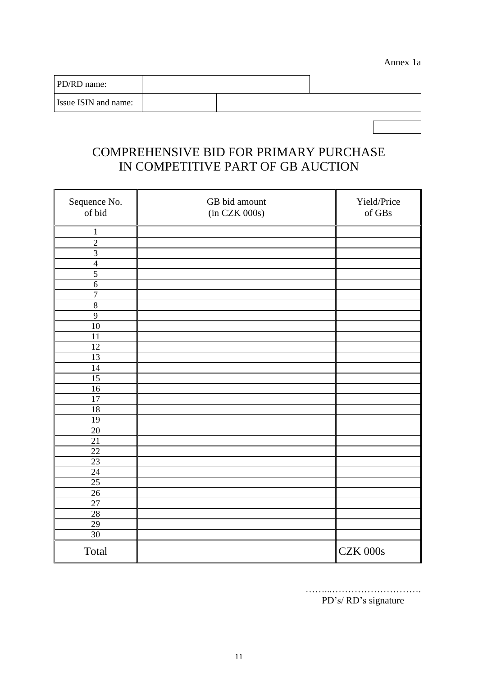| PD/RD name:          |  |  |
|----------------------|--|--|
| Issue ISIN and name: |  |  |
|                      |  |  |

# COMPREHENSIVE BID FOR PRIMARY PURCHASE IN COMPETITIVE PART OF GB AUCTION

| Sequence No.<br>of bid | GB bid amount<br>(in CZK 000s) | Yield/Price<br>of GBs |
|------------------------|--------------------------------|-----------------------|
| $\mathbf 1$            |                                |                       |
| $\overline{c}$         |                                |                       |
| $\overline{3}$         |                                |                       |
| $\overline{4}$         |                                |                       |
| 5                      |                                |                       |
| $\overline{6}$         |                                |                       |
| $\overline{7}$         |                                |                       |
| $\overline{8}$         |                                |                       |
| 9                      |                                |                       |
| 10                     |                                |                       |
| 11                     |                                |                       |
| 12                     |                                |                       |
| 13                     |                                |                       |
| 14                     |                                |                       |
| $\overline{15}$        |                                |                       |
| 16                     |                                |                       |
| $\overline{17}$        |                                |                       |
| 18                     |                                |                       |
| 19                     |                                |                       |
| 20                     |                                |                       |
| 21                     |                                |                       |
| 22                     |                                |                       |
| 23                     |                                |                       |
| 24                     |                                |                       |
| $\overline{25}$        |                                |                       |
| 26                     |                                |                       |
| 27                     |                                |                       |
| $\overline{28}$        |                                |                       |
| 29                     |                                |                       |
| 30                     |                                |                       |
| Total                  |                                | $CZK$ 000s            |

……...………………………. PD's/ RD's signature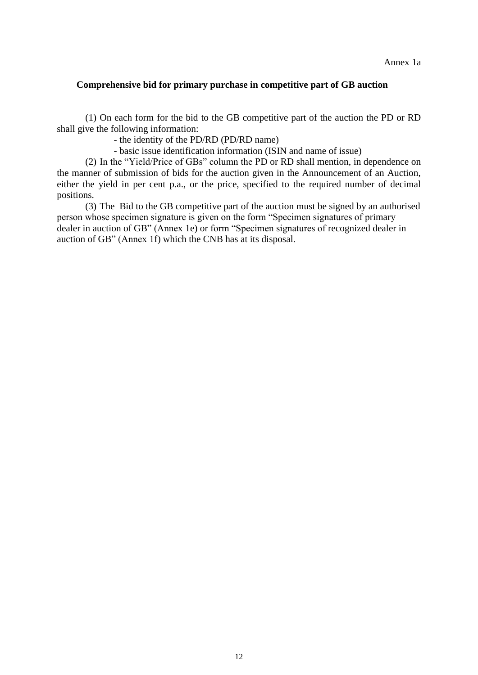#### **Comprehensive bid for primary purchase in competitive part of GB auction**

(1) On each form for the bid to the GB competitive part of the auction the PD or RD shall give the following information:

- the identity of the PD/RD (PD/RD name)

- basic issue identification information (ISIN and name of issue)

(2) In the "Yield/Price of GBs" column the PD or RD shall mention, in dependence on the manner of submission of bids for the auction given in the Announcement of an Auction, either the yield in per cent p.a., or the price, specified to the required number of decimal positions.

(3) The Bid to the GB competitive part of the auction must be signed by an authorised person whose specimen signature is given on the form "Specimen signatures of primary dealer in auction of GB" (Annex 1e) or form "Specimen signatures of recognized dealer in auction of GB" (Annex 1f) which the CNB has at its disposal.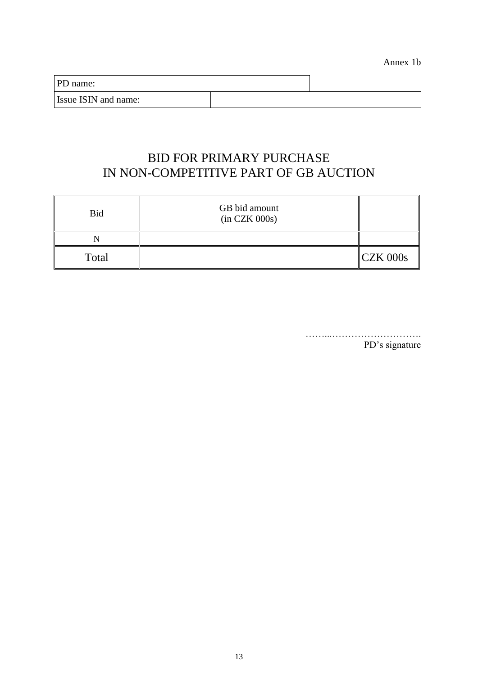Annex 1b

| PD name:                    |  |  |
|-----------------------------|--|--|
| <b>Issue ISIN and name:</b> |  |  |

# BID FOR PRIMARY PURCHASE IN NON-COMPETITIVE PART OF GB AUCTION

| <b>Bid</b> | GB bid amount<br>(in CZK 000s) |            |
|------------|--------------------------------|------------|
|            |                                |            |
| Total      |                                | $CZK$ 000s |

……...………………………. PD's signature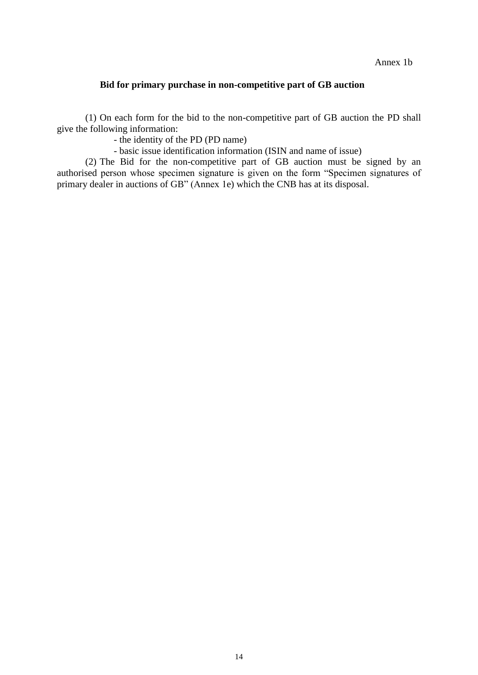#### Annex 1b

#### **Bid for primary purchase in non-competitive part of GB auction**

(1) On each form for the bid to the non-competitive part of GB auction the PD shall give the following information:

- the identity of the PD (PD name)

- basic issue identification information (ISIN and name of issue)

(2) The Bid for the non-competitive part of GB auction must be signed by an authorised person whose specimen signature is given on the form "Specimen signatures of primary dealer in auctions of GB" (Annex 1e) which the CNB has at its disposal.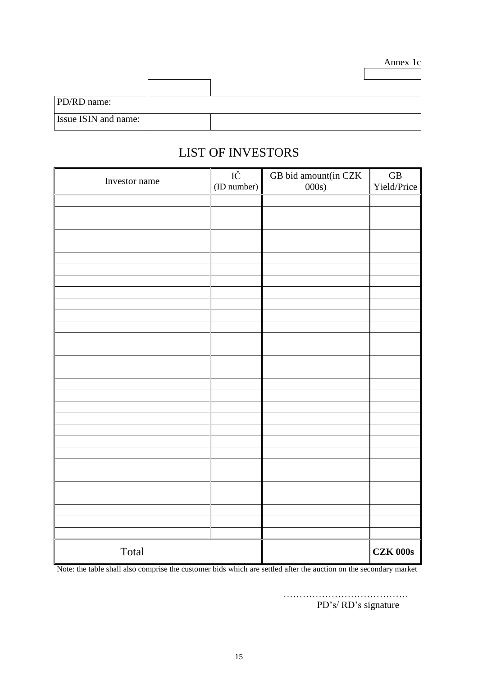Annex 1c

|                             |  | AILIEX IC |
|-----------------------------|--|-----------|
|                             |  |           |
|                             |  |           |
| PD/RD name:                 |  |           |
| <b>Issue ISIN</b> and name: |  |           |

# LIST OF INVESTORS

| Investor name | IČ<br>(ID number) | GB bid amount(in CZK<br>000s) | $\mathbf{G}\mathbf{B}$<br>Yield/Price |
|---------------|-------------------|-------------------------------|---------------------------------------|
|               |                   |                               |                                       |
|               |                   |                               |                                       |
|               |                   |                               |                                       |
|               |                   |                               |                                       |
|               |                   |                               |                                       |
|               |                   |                               |                                       |
|               |                   |                               |                                       |
|               |                   |                               |                                       |
|               |                   |                               |                                       |
|               |                   |                               |                                       |
|               |                   |                               |                                       |
|               |                   |                               |                                       |
|               |                   |                               |                                       |
|               |                   |                               |                                       |
|               |                   |                               |                                       |
|               |                   |                               |                                       |
|               |                   |                               |                                       |
|               |                   |                               |                                       |
|               |                   |                               |                                       |
|               |                   |                               |                                       |
|               |                   |                               |                                       |
|               |                   |                               |                                       |
|               |                   |                               |                                       |
|               |                   |                               |                                       |
|               |                   |                               |                                       |
| Total         |                   |                               | <b>CZK 000s</b>                       |

Note: the table shall also comprise the customer bids which are settled after the auction on the secondary market

PD's/ RD's signature

…………………………………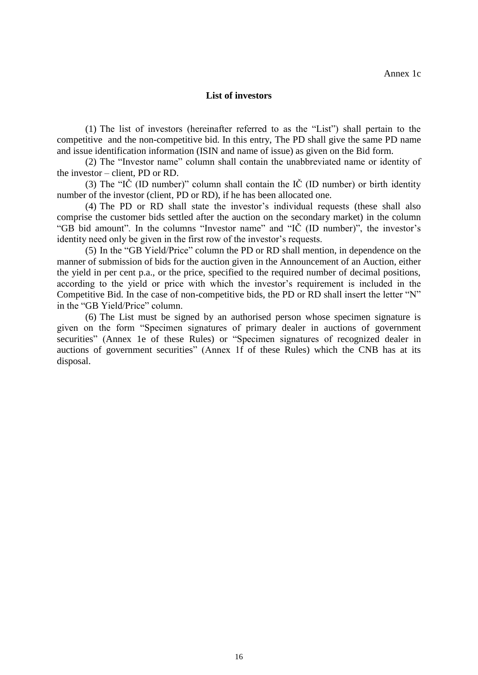#### **List of investors**

(1) The list of investors (hereinafter referred to as the "List") shall pertain to the competitive and the non-competitive bid. In this entry, The PD shall give the same PD name and issue identification information (ISIN and name of issue) as given on the Bid form.

(2) The "Investor name" column shall contain the unabbreviated name or identity of the investor – client, PD or RD.

(3) The "IČ (ID number)" column shall contain the IČ (ID number) or birth identity number of the investor (client, PD or RD), if he has been allocated one.

(4) The PD or RD shall state the investor's individual requests (these shall also comprise the customer bids settled after the auction on the secondary market) in the column "GB bid amount". In the columns "Investor name" and "IČ (ID number)", the investor's identity need only be given in the first row of the investor's requests.

(5) In the "GB Yield/Price" column the PD or RD shall mention, in dependence on the manner of submission of bids for the auction given in the Announcement of an Auction, either the yield in per cent p.a., or the price, specified to the required number of decimal positions, according to the yield or price with which the investor's requirement is included in the Competitive Bid. In the case of non-competitive bids, the PD or RD shall insert the letter "N" in the "GB Yield/Price" column.

(6) The List must be signed by an authorised person whose specimen signature is given on the form "Specimen signatures of primary dealer in auctions of government securities" (Annex 1e of these Rules) or "Specimen signatures of recognized dealer in auctions of government securities" (Annex 1f of these Rules) which the CNB has at its disposal.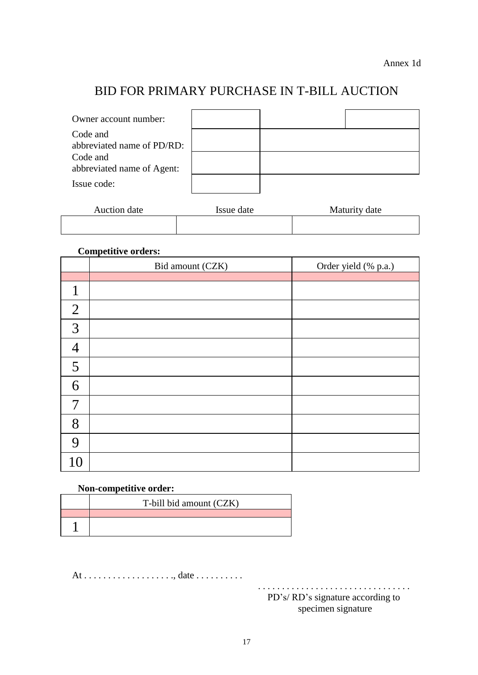# BID FOR PRIMARY PURCHASE IN T-BILL AUCTION

| Owner account number:                  |  |  |
|----------------------------------------|--|--|
| Code and<br>abbreviated name of PD/RD: |  |  |
| Code and<br>abbreviated name of Agent: |  |  |
| Issue code:                            |  |  |

| Auction date | Issue date | Maturity date |
|--------------|------------|---------------|
|              |            |               |

#### **Competitive orders:**

|                | Bid amount (CZK) | Order yield (% p.a.) |
|----------------|------------------|----------------------|
|                |                  |                      |
| 1              |                  |                      |
| $\overline{2}$ |                  |                      |
| 3              |                  |                      |
| $\overline{4}$ |                  |                      |
| 5              |                  |                      |
| 6              |                  |                      |
| 7              |                  |                      |
| 8              |                  |                      |
| 9              |                  |                      |
| 10             |                  |                      |

#### **Non-competitive order:**

| T-bill bid amount (CZK) |
|-------------------------|
|                         |
|                         |

At . . . . . . . . . . . . . . . . . . ., date . . . . . . . . . .

. . . . . . . . . . . . . . . . . . . . . . . . . . . . . . . . PD's/ RD's signature according to

specimen signature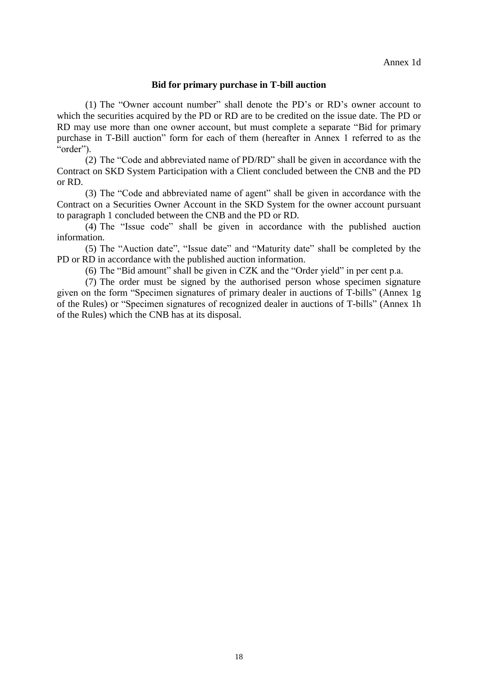#### **Bid for primary purchase in T-bill auction**

(1) The "Owner account number" shall denote the PD's or RD's owner account to which the securities acquired by the PD or RD are to be credited on the issue date. The PD or RD may use more than one owner account, but must complete a separate "Bid for primary purchase in T-Bill auction" form for each of them (hereafter in Annex 1 referred to as the "order").

(2) The "Code and abbreviated name of PD/RD" shall be given in accordance with the Contract on SKD System Participation with a Client concluded between the CNB and the PD or RD.

(3) The "Code and abbreviated name of agent" shall be given in accordance with the Contract on a Securities Owner Account in the SKD System for the owner account pursuant to paragraph 1 concluded between the CNB and the PD or RD.

(4) The "Issue code" shall be given in accordance with the published auction information.

(5) The "Auction date", "Issue date" and "Maturity date" shall be completed by the PD or RD in accordance with the published auction information.

(6) The "Bid amount" shall be given in CZK and the "Order yield" in per cent p.a.

(7) The order must be signed by the authorised person whose specimen signature given on the form "Specimen signatures of primary dealer in auctions of T-bills" (Annex 1g of the Rules) or "Specimen signatures of recognized dealer in auctions of T-bills" (Annex 1h of the Rules) which the CNB has at its disposal.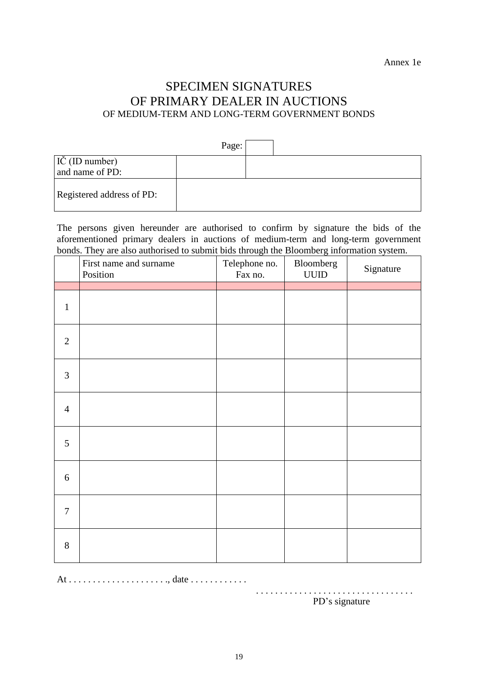Annex 1e

# SPECIMEN SIGNATURES OF PRIMARY DEALER IN AUCTIONS OF MEDIUM-TERM AND LONG-TERM GOVERNMENT BONDS

|                           | Page: |  |
|---------------------------|-------|--|
| IČ (ID number)            |       |  |
| and name of PD:           |       |  |
| Registered address of PD: |       |  |

The persons given hereunder are authorised to confirm by signature the bids of the aforementioned primary dealers in auctions of medium-term and long-term government bonds. They are also authorised to submit bids through the Bloomberg information system.

|                | First name and surname<br>Position | Telephone no.<br>Fax no. | Bloomberg<br>${\rm UUID}$ | Signature |
|----------------|------------------------------------|--------------------------|---------------------------|-----------|
|                |                                    |                          |                           |           |
| $\mathbf{1}$   |                                    |                          |                           |           |
| $\sqrt{2}$     |                                    |                          |                           |           |
| 3              |                                    |                          |                           |           |
| $\overline{4}$ |                                    |                          |                           |           |
| 5              |                                    |                          |                           |           |
| 6              |                                    |                          |                           |           |
| $\overline{7}$ |                                    |                          |                           |           |
| $8\,$          |                                    |                          |                           |           |

At . . . . . . . . . . . . . . . . . . . . ., date . . . . . . . . . . . .

PD's signature

. . . . . . . . . . . . . . . . . . . . . . . . . . . . . . . . .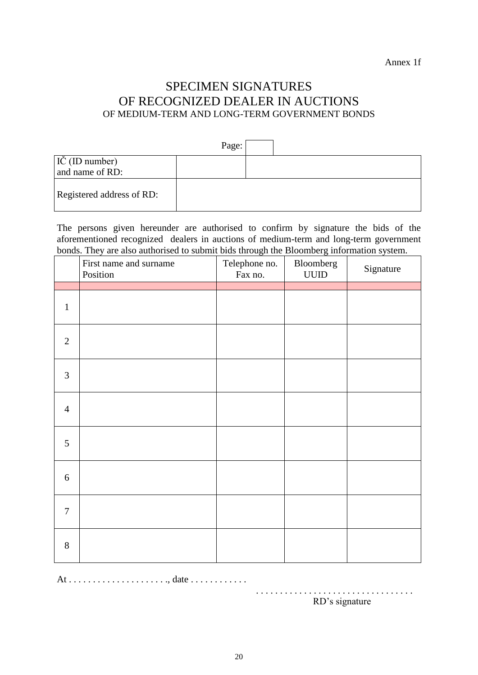## SPECIMEN SIGNATURES OF RECOGNIZED DEALER IN AUCTIONS OF MEDIUM-TERM AND LONG-TERM GOVERNMENT BONDS

|                           | Page: |  |  |
|---------------------------|-------|--|--|
| IČ (ID number)            |       |  |  |
| and name of RD:           |       |  |  |
| Registered address of RD: |       |  |  |

The persons given hereunder are authorised to confirm by signature the bids of the aforementioned recognized dealers in auctions of medium-term and long-term government bonds. They are also authorised to submit bids through the Bloomberg information system.

|                | First name and surname<br>Position | Telephone no.<br>Fax no. | Bloomberg<br>${\rm UUID}$ | Signature |
|----------------|------------------------------------|--------------------------|---------------------------|-----------|
|                |                                    |                          |                           |           |
| $\mathbf{1}$   |                                    |                          |                           |           |
| $\sqrt{2}$     |                                    |                          |                           |           |
| 3              |                                    |                          |                           |           |
| $\overline{4}$ |                                    |                          |                           |           |
| 5              |                                    |                          |                           |           |
| 6              |                                    |                          |                           |           |
| $\overline{7}$ |                                    |                          |                           |           |
| $8\,$          |                                    |                          |                           |           |

At . . . . . . . . . . . . . . . . . . . . ., date . . . . . . . . . . . .

RD's signature

. . . . . . . . . . . . . . . . . . . . . . . . . . . . . . . . .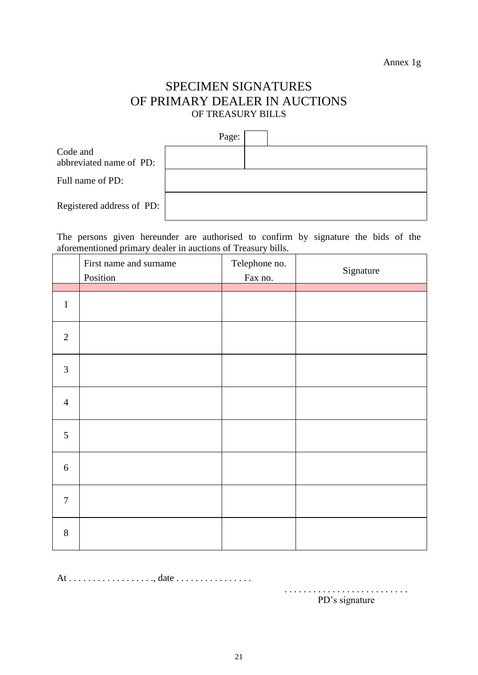### SPECIMEN SIGNATURES OF PRIMARY DEALER IN AUCTIONS OF TREASURY BILLS

|                                     | Page: |  |
|-------------------------------------|-------|--|
| Code and<br>abbreviated name of PD: |       |  |
| Full name of PD:                    |       |  |
| Registered address of PD:           |       |  |

The persons given hereunder are authorised to confirm by signature the bids of the aforementioned primary dealer in auctions of Treasury bills.

|                | First name and surname<br>Position | Telephone no.<br>Fax no. | Signature |
|----------------|------------------------------------|--------------------------|-----------|
|                |                                    |                          |           |
| $\mathbf{1}$   |                                    |                          |           |
| $\overline{2}$ |                                    |                          |           |
| $\mathfrak{Z}$ |                                    |                          |           |
| $\overline{4}$ |                                    |                          |           |
| $\sqrt{5}$     |                                    |                          |           |
| $6\,$          |                                    |                          |           |
| $\overline{7}$ |                                    |                          |           |
| $8\,$          |                                    |                          |           |

At . . . . . . . . . . . . . . . . . ., date . . . . . . . . . . . . . . . .

. . . . . . . . . . . . . . . . . . . . . . . . . . PD's signature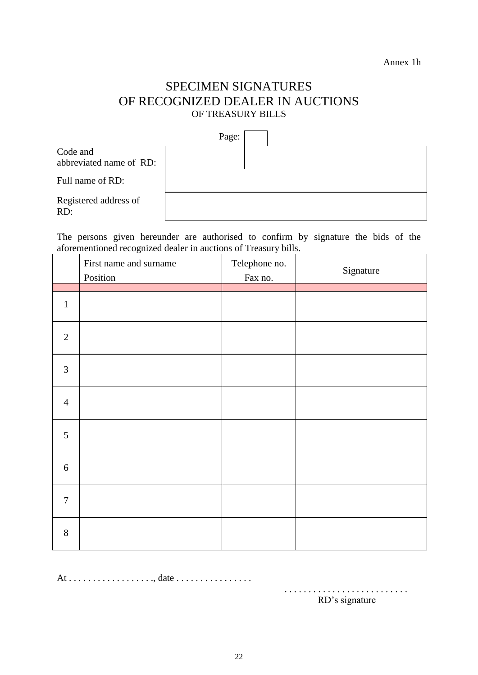# SPECIMEN SIGNATURES OF RECOGNIZED DEALER IN AUCTIONS OF TREASURY BILLS

|                                     | Page: |  |
|-------------------------------------|-------|--|
| Code and<br>abbreviated name of RD: |       |  |
| Full name of RD:                    |       |  |
| Registered address of<br>RD:        |       |  |

The persons given hereunder are authorised to confirm by signature the bids of the aforementioned recognized dealer in auctions of Treasury bills.

|                | First name and surname | Telephone no. | Signature |
|----------------|------------------------|---------------|-----------|
|                | Position               | Fax no.       |           |
| $\mathbf{1}$   |                        |               |           |
| $\sqrt{2}$     |                        |               |           |
| $\mathfrak{Z}$ |                        |               |           |
| $\overline{4}$ |                        |               |           |
| 5              |                        |               |           |
| $\sqrt{6}$     |                        |               |           |
| $\tau$         |                        |               |           |
| $8\,$          |                        |               |           |

At . . . . . . . . . . . . . . . . . ., date . . . . . . . . . . . . . . . .

. . . . . . . . . . . . . . . . . . . . . . . . . . RD's signature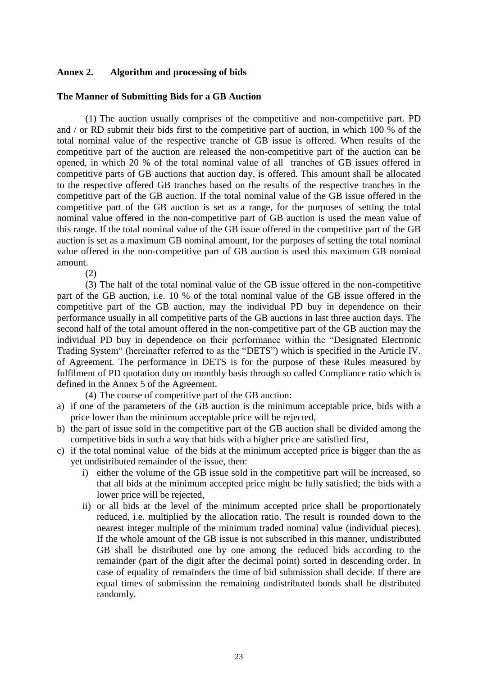#### **Annex 2. Algorithm and processing of bids**

#### **The Manner of Submitting Bids for a GB Auction**

(1) The auction usually comprises of the competitive and non-competitive part. PD and / or RD submit their bids first to the competitive part of auction, in which 100 % of the total nominal value of the respective tranche of GB issue is offered. When results of the competitive part of the auction are released the non-competitive part of the auction can be opened, in which 20 % of the total nominal value of all tranches of GB issues offered in competitive parts of GB auctions that auction day, is offered. This amount shall be allocated to the respective offered GB tranches based on the results of the respective tranches in the competitive part of the GB auction. If the total nominal value of the GB issue offered in the competitive part of the GB auction is set as a range, for the purposes of setting the total nominal value offered in the non-competitive part of GB auction is used the mean value of this range. If the total nominal value of the GB issue offered in the competitive part of the GB auction is set as a maximum GB nominal amount, for the purposes of setting the total nominal value offered in the non-competitive part of GB auction is used this maximum GB nominal amount.

(2)

(3) The half of the total nominal value of the GB issue offered in the non-competitive part of the GB auction, i.e. 10 % of the total nominal value of the GB issue offered in the competitive part of the GB auction, may the individual PD buy in dependence on their performance usually in all competitive parts of the GB auctions in last three auction days. The second half of the total amount offered in the non-competitive part of the GB auction may the individual PD buy in dependence on their performance within the "Designated Electronic Trading System" (hereinafter referred to as the "DETS") which is specified in the Article IV. of Agreement. The performance in DETS is for the purpose of these Rules measured by fulfilment of PD quotation duty on monthly basis through so called Compliance ratio which is defined in the Annex 5 of the Agreement.

(4) The course of competitive part of the GB auction:

- a) if one of the parameters of the GB auction is the minimum acceptable price, bids with a price lower than the minimum acceptable price will be rejected,
- b) the part of issue sold in the competitive part of the GB auction shall be divided among the competitive bids in such a way that bids with a higher price are satisfied first,
- c) if the total nominal value of the bids at the minimum accepted price is bigger than the as yet undistributed remainder of the issue, then:
	- i) either the volume of the GB issue sold in the competitive part will be increased, so that all bids at the minimum accepted price might be fully satisfied; the bids with a lower price will be rejected,
	- ii) or all bids at the level of the minimum accepted price shall be proportionately reduced, i.e. multiplied by the allocation ratio. The result is rounded down to the nearest integer multiple of the minimum traded nominal value (individual pieces). If the whole amount of the GB issue is not subscribed in this manner, undistributed GB shall be distributed one by one among the reduced bids according to the remainder (part of the digit after the decimal point) sorted in descending order. In case of equality of remainders the time of bid submission shall decide. If there are equal times of submission the remaining undistributed bonds shall be distributed randomly.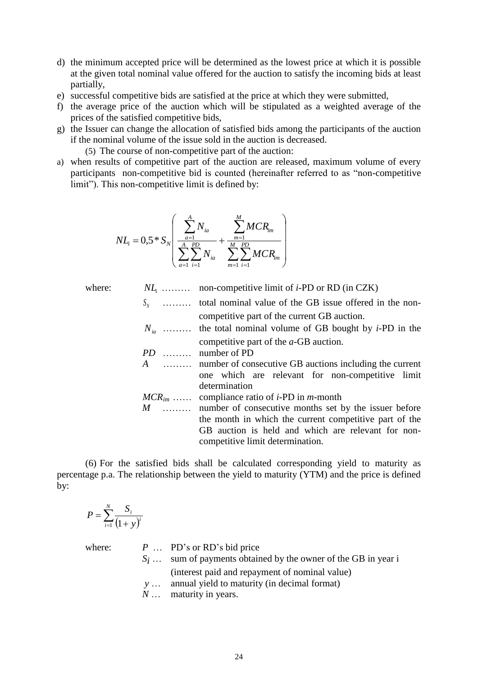- d) the minimum accepted price will be determined as the lowest price at which it is possible at the given total nominal value offered for the auction to satisfy the incoming bids at least partially,
- e) successful competitive bids are satisfied at the price at which they were submitted,
- f) the average price of the auction which will be stipulated as a weighted average of the prices of the satisfied competitive bids,
- g) the Issuer can change the allocation of satisfied bids among the participants of the auction if the nominal volume of the issue sold in the auction is decreased.

(5) The course of non-competitive part of the auction:

a) when results of competitive part of the auction are released, maximum volume of every participants non-competitive bid is counted (hereinafter referred to as "non-competitive limit"). This non-competitive limit is defined by:

$$
NL_{\text{f}} = 0.5 * S_{N} \left( \frac{\sum_{a=1}^{A} N_{ia}}{\sum_{a=1}^{A} \sum_{i=1}^{PD} N_{ia}} + \frac{\sum_{m=1}^{M} MCR_{im}}{\sum_{m=1}^{M} \sum_{i=1}^{PD} MCR_{im}} \right)
$$

where:

*NL<sup>i</sup>* ……… non-competitive limit of *i*-PD or RD (in CZK)

*<sup>N</sup> <sup>S</sup>* ……… total nominal value of the GB issue offered in the noncompetitive part of the current GB auction. *Nia* ……… the total nominal volume of GB bought by *i*-PD in the

competitive part of the *a*-GB auction.

*PD* ……… number of PD

- *A* ……… number of consecutive GB auctions including the current one which are relevant for non-competitive limit determination
- *MCRim* …… compliance ratio of *i*-PD in *m*-month

*M* ……… number of consecutive months set by the issuer before the month in which the current competitive part of the GB auction is held and which are relevant for noncompetitive limit determination.

(6) For the satisfied bids shall be calculated corresponding yield to maturity as percentage p.a. The relationship between the yield to maturity (YTM) and the price is defined by:

$$
P = \sum_{i=1}^{N} \frac{S_i}{\left(1 + y\right)^i}
$$

where: *P* ... PD's or RD's bid price

- *Si* … sum of payments obtained by the owner of the GB in year i (interest paid and repayment of nominal value) *y* … annual yield to maturity (in decimal format)
- *N* … maturity in years.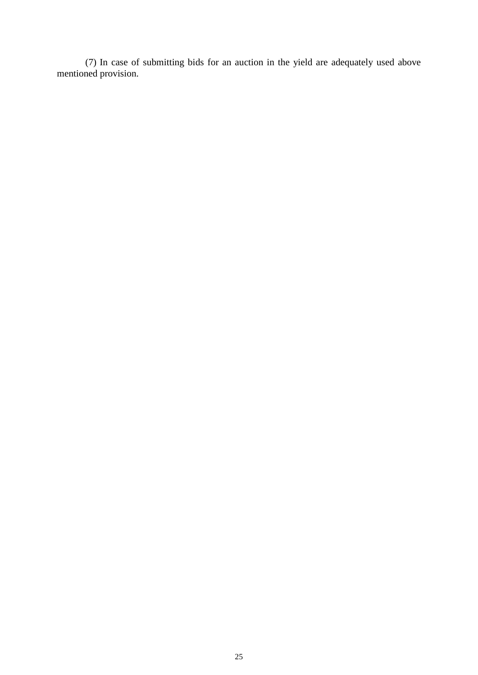(7) In case of submitting bids for an auction in the yield are adequately used above mentioned provision.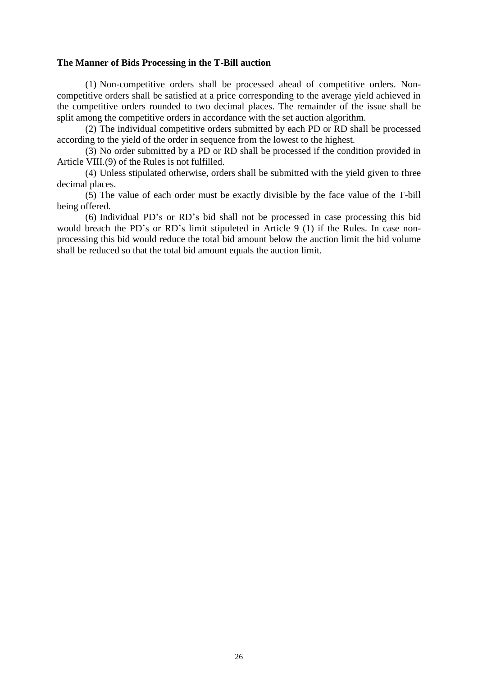#### **The Manner of Bids Processing in the T-Bill auction**

(1) Non-competitive orders shall be processed ahead of competitive orders. Noncompetitive orders shall be satisfied at a price corresponding to the average yield achieved in the competitive orders rounded to two decimal places. The remainder of the issue shall be split among the competitive orders in accordance with the set auction algorithm.

(2) The individual competitive orders submitted by each PD or RD shall be processed according to the yield of the order in sequence from the lowest to the highest.

(3) No order submitted by a PD or RD shall be processed if the condition provided in Article VIII.(9) of the Rules is not fulfilled.

(4) Unless stipulated otherwise, orders shall be submitted with the yield given to three decimal places.

(5) The value of each order must be exactly divisible by the face value of the T-bill being offered.

(6) Individual PD's or RD's bid shall not be processed in case processing this bid would breach the PD's or RD's limit stipuleted in Article 9 (1) if the Rules. In case nonprocessing this bid would reduce the total bid amount below the auction limit the bid volume shall be reduced so that the total bid amount equals the auction limit.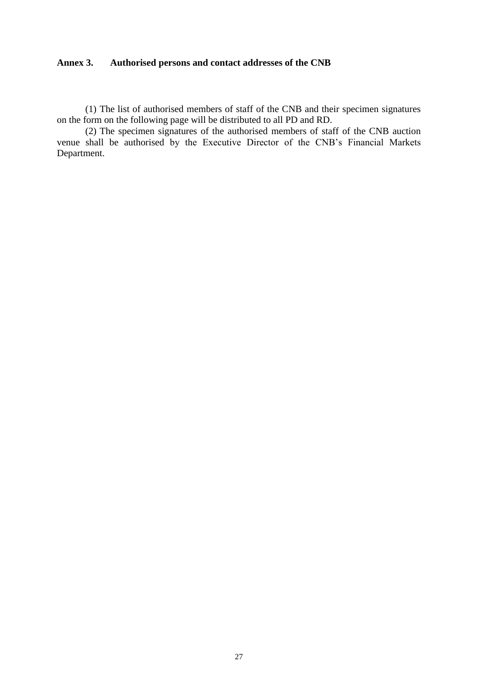#### **Annex 3. Authorised persons and contact addresses of the CNB**

(1) The list of authorised members of staff of the CNB and their specimen signatures on the form on the following page will be distributed to all PD and RD.

(2) The specimen signatures of the authorised members of staff of the CNB auction venue shall be authorised by the Executive Director of the CNB's Financial Markets Department.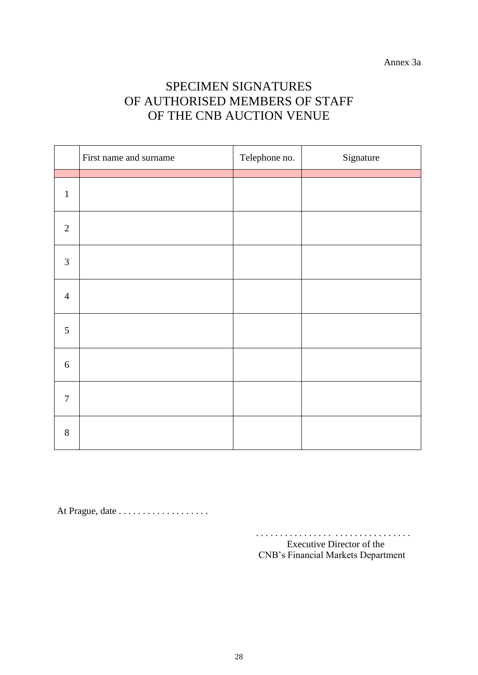# SPECIMEN SIGNATURES OF AUTHORISED MEMBERS OF STAFF OF THE CNB AUCTION VENUE

|                | First name and surname | Telephone no. | Signature |
|----------------|------------------------|---------------|-----------|
|                |                        |               |           |
| $\mathbf{1}$   |                        |               |           |
| $\overline{2}$ |                        |               |           |
| $\mathfrak{Z}$ |                        |               |           |
| $\overline{4}$ |                        |               |           |
| 5              |                        |               |           |
| $6\,$          |                        |               |           |
| $\overline{7}$ |                        |               |           |
| $8\,$          |                        |               |           |

At Prague, date . . . . . . . . . . . . . . . . . . .

. . . . . . . . . . . . . . . . . . . . . . . . . . . . . . . . Executive Director of the CNB's Financial Markets Department